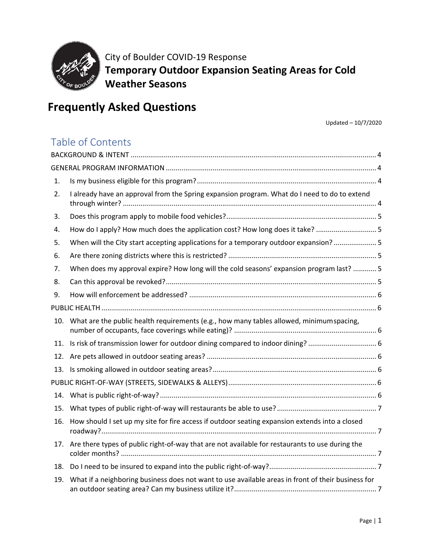

City of Boulder COVID-19 Response **Temporary Outdoor Expansion Seating Areas for Cold Weather Seasons**

# **Frequently Asked Questions**

Updated – 10/7/2020

## Table of Contents

| 1.  |                                                                                                    |  |
|-----|----------------------------------------------------------------------------------------------------|--|
| 2.  | I already have an approval from the Spring expansion program. What do I need to do to extend       |  |
| 3.  |                                                                                                    |  |
| 4.  | How do I apply? How much does the application cost? How long does it take?  5                      |  |
| 5.  | When will the City start accepting applications for a temporary outdoor expansion? 5               |  |
| 6.  |                                                                                                    |  |
| 7.  | When does my approval expire? How long will the cold seasons' expansion program last?  5           |  |
| 8.  |                                                                                                    |  |
| 9.  |                                                                                                    |  |
|     |                                                                                                    |  |
| 10. | What are the public health requirements (e.g., how many tables allowed, minimumspacing,            |  |
| 11. | Is risk of transmission lower for outdoor dining compared to indoor dining?  6                     |  |
| 12. |                                                                                                    |  |
| 13. |                                                                                                    |  |
|     |                                                                                                    |  |
| 14. |                                                                                                    |  |
| 15. |                                                                                                    |  |
| 16. | How should I set up my site for fire access if outdoor seating expansion extends into a closed     |  |
| 17. | Are there types of public right-of-way that are not available for restaurants to use during the    |  |
| 18. |                                                                                                    |  |
| 19. | What if a neighboring business does not want to use available areas in front of their business for |  |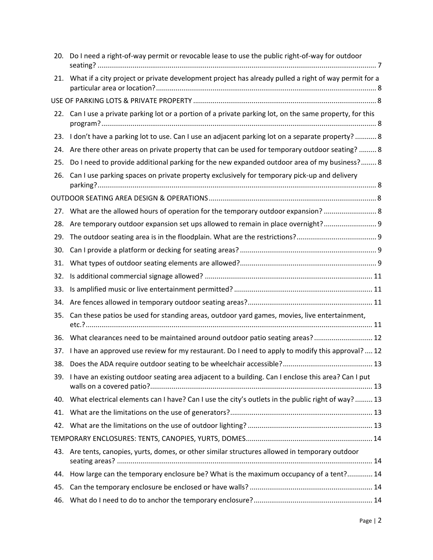| 20. | Do I need a right-of-way permit or revocable lease to use the public right-of-way for outdoor             |  |
|-----|-----------------------------------------------------------------------------------------------------------|--|
| 21. | What if a city project or private development project has already pulled a right of way permit for a      |  |
|     |                                                                                                           |  |
|     | 22. Can I use a private parking lot or a portion of a private parking lot, on the same property, for this |  |
| 23. | I don't have a parking lot to use. Can I use an adjacent parking lot on a separate property?  8           |  |
| 24. | Are there other areas on private property that can be used for temporary outdoor seating?  8              |  |
| 25. | Do I need to provide additional parking for the new expanded outdoor area of my business? 8               |  |
| 26. | Can I use parking spaces on private property exclusively for temporary pick-up and delivery               |  |
|     |                                                                                                           |  |
| 27. | What are the allowed hours of operation for the temporary outdoor expansion?  8                           |  |
| 28. | Are temporary outdoor expansion set ups allowed to remain in place overnight? 9                           |  |
| 29. |                                                                                                           |  |
| 30. |                                                                                                           |  |
| 31. |                                                                                                           |  |
| 32. |                                                                                                           |  |
| 33. |                                                                                                           |  |
| 34. |                                                                                                           |  |
| 35. | Can these patios be used for standing areas, outdoor yard games, movies, live entertainment,              |  |
| 36. | What clearances need to be maintained around outdoor patio seating areas? 12                              |  |
| 37. | I have an approved use review for my restaurant. Do I need to apply to modify this approval?  12          |  |
| 38. |                                                                                                           |  |
|     | 39. I have an existing outdoor seating area adjacent to a building. Can I enclose this area? Can I put    |  |
| 40. | What electrical elements can I have? Can I use the city's outlets in the public right of way?  13         |  |
| 41. |                                                                                                           |  |
| 42. |                                                                                                           |  |
|     |                                                                                                           |  |
| 43. | Are tents, canopies, yurts, domes, or other similar structures allowed in temporary outdoor               |  |
| 44. | How large can the temporary enclosure be? What is the maximum occupancy of a tent? 14                     |  |
| 45. |                                                                                                           |  |
| 46. |                                                                                                           |  |
|     |                                                                                                           |  |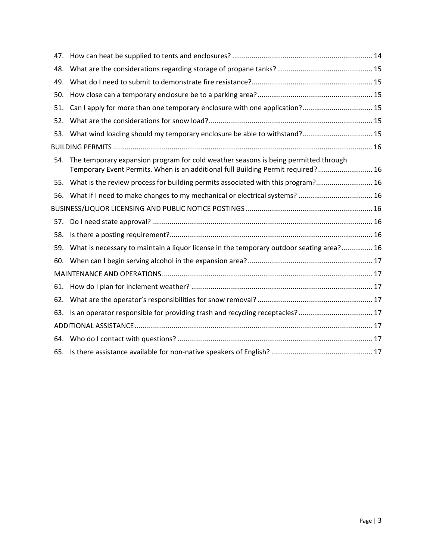| 47. |                                                                                                                                                                         |  |
|-----|-------------------------------------------------------------------------------------------------------------------------------------------------------------------------|--|
| 48. |                                                                                                                                                                         |  |
| 49. |                                                                                                                                                                         |  |
| 50. |                                                                                                                                                                         |  |
| 51. | Can I apply for more than one temporary enclosure with one application? 15                                                                                              |  |
| 52. |                                                                                                                                                                         |  |
| 53. | What wind loading should my temporary enclosure be able to withstand? 15                                                                                                |  |
|     |                                                                                                                                                                         |  |
| 54. | The temporary expansion program for cold weather seasons is being permitted through<br>Temporary Event Permits. When is an additional full Building Permit required? 16 |  |
| 55. | What is the review process for building permits associated with this program? 16                                                                                        |  |
| 56. | What if I need to make changes to my mechanical or electrical systems?  16                                                                                              |  |
|     |                                                                                                                                                                         |  |
| 57. |                                                                                                                                                                         |  |
| 58. |                                                                                                                                                                         |  |
| 59. | What is necessary to maintain a liquor license in the temporary outdoor seating area? 16                                                                                |  |
| 60. |                                                                                                                                                                         |  |
|     |                                                                                                                                                                         |  |
| 61. |                                                                                                                                                                         |  |
| 62. |                                                                                                                                                                         |  |
| 63. |                                                                                                                                                                         |  |
|     |                                                                                                                                                                         |  |
| 64. |                                                                                                                                                                         |  |
|     |                                                                                                                                                                         |  |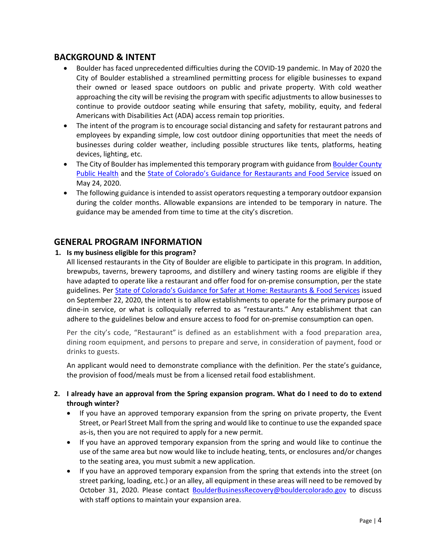## <span id="page-3-0"></span>**BACKGROUND & INTENT**

- Boulder has faced unprecedented difficulties during the COVID-19 pandemic. In May of 2020 the City of Boulder established a streamlined permitting process for eligible businesses to expand their owned or leased space outdoors on public and private property. With cold weather approaching the city will be revising the program with specific adjustments to allow businesses to continue to provide outdoor seating while ensuring that safety, mobility, equity, and federal Americans with Disabilities Act (ADA) access remain top priorities.
- The intent of the program is to encourage social distancing and safety for restaurant patrons and employees by expanding simple, low cost outdoor dining opportunities that meet the needs of businesses during colder weather, including possible structures like tents, platforms, heating devices, lighting, etc.
- The City of Boulder has implemented this temporary program with guidance from Boulder County [Public Health](https://www.bouldercounty.org/departments/public-health/) and the [State of Colorado's Guidance for Restaurants and Food Service](https://drive.google.com/file/d/1_yyWSUnb40TKDBk9EcvYcSkOzhCDV8NA/view) issued on May 24, 2020.
- The following guidance is intended to assist operators requesting a temporary outdoor expansion during the colder months. Allowable expansions are intended to be temporary in nature. The guidance may be amended from time to time at the city's discretion.

## <span id="page-3-1"></span>**GENERAL PROGRAM INFORMATION**

#### <span id="page-3-2"></span>**1. Is my business eligible for this program?**

All licensed restaurants in the City of Boulder are eligible to participate in this program. In addition, brewpubs, taverns, brewery taprooms, and distillery and winery tasting rooms are eligible if they have adapted to operate like a restaurant and offer food for on-premise consumption, per the state guidelines. Per [State of Colorado's Guidance for Safer at Home: Restaurants & Food Services](https://covid19.colorado.gov/safer-at-home/restaurants-food-services) issued on September 22, 2020, the intent is to allow establishments to operate for the primary purpose of dine-in service, or what is colloquially referred to as "restaurants." Any establishment that can adhere to the guidelines below and ensure access to food for on-premise consumption can open.

Per the city's code, "Restaurant" is defined as an establishment with a food preparation area, dining room equipment, and persons to prepare and serve, in consideration of payment, food or drinks to guests.

An applicant would need to demonstrate compliance with the definition. Per the state's guidance, the provision of food/meals must be from a licensed retail food establishment.

- <span id="page-3-3"></span>**2. I already have an approval from the Spring expansion program. What do I need to do to extend through winter?**
	- If you have an approved temporary expansion from the spring on private property, the Event Street, or Pearl Street Mall from the spring and would like to continue to use the expanded space as-is, then you are not required to apply for a new permit.
	- If you have an approved temporary expansion from the spring and would like to continue the use of the same area but now would like to include heating, tents, or enclosures and/or changes to the seating area, you must submit a new application.
	- If you have an approved temporary expansion from the spring that extends into the street (on street parking, loading, etc.) or an alley, all equipment in these areas will need to be removed by October 31, 2020. Please contact [BoulderBusinessRecovery@bouldercolorado.gov](mailto:BoulderBusinessRecovery@bouldercolorado.gov) to discuss with staff options to maintain your expansion area.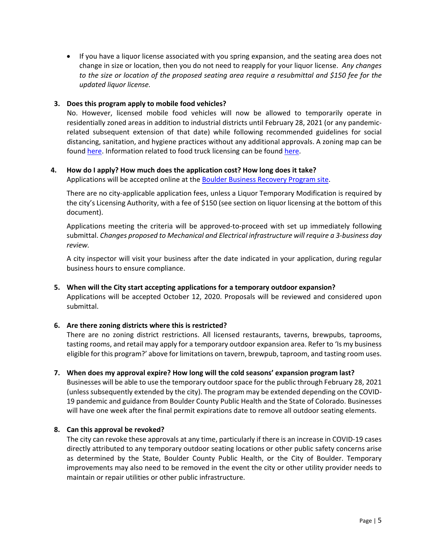• If you have a liquor license associated with you spring expansion, and the seating area does not change in size or location, then you do not need to reapply for your liquor license. *Any changes to the size or location of the proposed seating area require a resubmittal and \$150 fee for the updated liquor license.* 

#### <span id="page-4-0"></span>**3. Does this program apply to mobile food vehicles?**

No. However, licensed mobile food vehicles will now be allowed to temporarily operate in residentially zoned areas in addition to industrial districts until February 28, 2021 (or any pandemicrelated subsequent extension of that date) while following recommended guidelines for social distancing, sanitation, and hygiene practices without any additional approvals. A zoning map can be foun[d here.](https://bouldercolorado.gov/tax-license/mobile-food-vehicles) Information related to food truck licensing can be found here.

#### <span id="page-4-1"></span>**4. How do I apply? How much does the application cost? How long does it take?**

Applications will be accepted online at the **Boulder Business Recovery Program site**.

There are no city-applicable application fees, unless a Liquor Temporary Modification is required by the city's Licensing Authority, with a fee of \$150 (see section on liquor licensing at the bottom of this document).

Applications meeting the criteria will be approved-to-proceed with set up immediately following submittal. *Changes proposed to Mechanical and Electrical infrastructure will require a 3-business day review.*

A city inspector will visit your business after the date indicated in your application, during regular business hours to ensure compliance.

<span id="page-4-2"></span>**5. When will the City start accepting applications for a temporary outdoor expansion?** Applications will be accepted October 12, 2020. Proposals will be reviewed and considered upon submittal.

#### <span id="page-4-3"></span>**6. Are there zoning districts where this is restricted?**

There are no zoning district restrictions. All licensed restaurants, taverns, brewpubs, taprooms, tasting rooms, and retail may apply for a temporary outdoor expansion area. Refer to 'Is my business eligible for this program?' above for limitations on tavern, brewpub, taproom, and tasting room uses.

#### <span id="page-4-4"></span>**7. When does my approval expire? How long will the cold seasons' expansion program last?**

Businesses will be able to use the temporary outdoor space for the public through February 28, 2021 (unless subsequently extended by the city). The program may be extended depending on the COVID-19 pandemic and guidance from Boulder County Public Health and the State of Colorado. Businesses will have one week after the final permit expirations date to remove all outdoor seating elements.

#### <span id="page-4-5"></span>**8. Can this approval be revoked?**

The city can revoke these approvals at any time, particularly if there is an increase in COVID-19 cases directly attributed to any temporary outdoor seating locations or other public safety concerns arise as determined by the State, Boulder County Public Health, or the City of Boulder. Temporary improvements may also need to be removed in the event the city or other utility provider needs to maintain or repair utilities or other public infrastructure.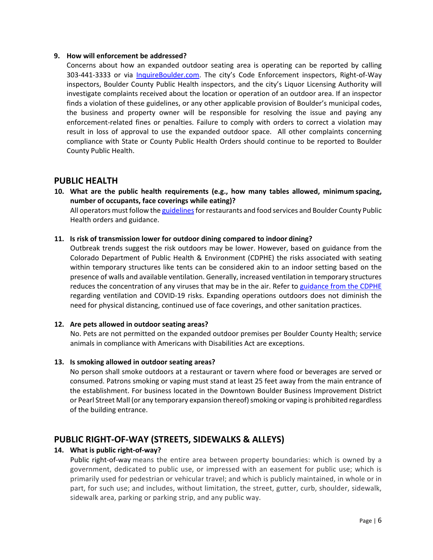#### <span id="page-5-0"></span>**9. How will enforcement be addressed?**

Concerns about how an expanded outdoor seating area is operating can be reported by calling 303-441-3333 or via [InquireBoulder.com.](https://user.govoutreach.com/boulder/faq.php?cmd=shell) The city's Code Enforcement inspectors, Right-of-Way inspectors, Boulder County Public Health inspectors, and the city's Liquor Licensing Authority will investigate complaints received about the location or operation of an outdoor area. If an inspector finds a violation of these guidelines, or any other applicable provision of Boulder's municipal codes, the business and property owner will be responsible for resolving the issue and paying any enforcement-related fines or penalties. Failure to comply with orders to correct a violation may result in loss of approval to use the expanded outdoor space. All other complaints concerning compliance with State or County Public Health Orders should continue to be reported to Boulder County Public Health.

## <span id="page-5-1"></span>**PUBLIC HEALTH**

<span id="page-5-2"></span>**10. What are the public health requirements (e.g., how many tables allowed, minimum spacing, number of occupants, face coverings while eating)?**

All operators must follow the guidelines for restaurants and food services and Boulder County Public Health orders and guidance.

#### <span id="page-5-3"></span>**11. Is risk of transmission lower for outdoor dining compared to indoor dining?**

Outbreak trends suggest the risk outdoors may be lower. However, based on guidance from the Colorado Department of Public Health & Environment (CDPHE) the risks associated with seating within temporary structures like tents can be considered akin to an indoor setting based on the presence of walls and available ventilation. Generally, increased ventilation in temporary structures reduces the concentration of any viruses that may be in the air. Refer to [guidance from the CDPHE](https://drive.google.com/file/d/1oNUhQx2CCwSsMrbSklOreAN1Yjp62sYd/view) regarding ventilation and COVID-19 risks. Expanding operations outdoors does not diminish the need for physical distancing, continued use of face coverings, and other sanitation practices.

#### <span id="page-5-4"></span>**12. Are pets allowed in outdoor seating areas?**

No. Pets are not permitted on the expanded outdoor premises per Boulder County Health; service animals in compliance with Americans with Disabilities Act are exceptions.

#### <span id="page-5-5"></span>**13. Is smoking allowed in outdoor seating areas?**

No person shall smoke outdoors at a restaurant or tavern where food or beverages are served or consumed. Patrons smoking or vaping must stand at least 25 feet away from the main entrance of the establishment. For business located in the Downtown Boulder Business Improvement District or Pearl Street Mall (or any temporary expansion thereof) smoking or vaping is prohibited regardless of the building entrance.

## <span id="page-5-6"></span>**PUBLIC RIGHT‐OF‐WAY (STREETS, SIDEWALKS & ALLEYS)**

#### <span id="page-5-7"></span>**14. What is public right-of-way?**

Public right-of-way means the entire area between property boundaries: which is owned by a government, dedicated to public use, or impressed with an easement for public use; which is primarily used for pedestrian or vehicular travel; and which is publicly maintained, in whole or in part, for such use; and includes, without limitation, the street, gutter, curb, shoulder, sidewalk, sidewalk area, parking or parking strip, and any public way.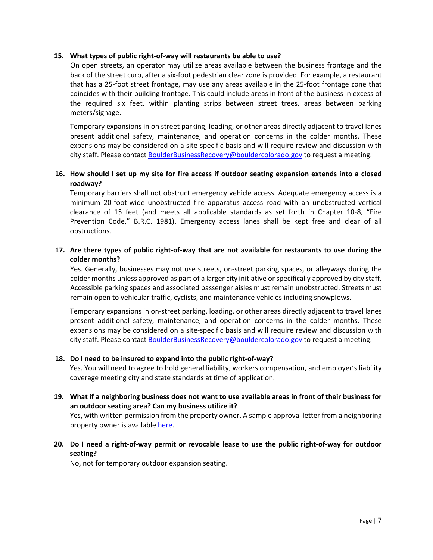#### <span id="page-6-0"></span>**15. What types of public right-of-way will restaurants be able to use?**

On open streets, an operator may utilize areas available between the business frontage and the back of the street curb, after a six-foot pedestrian clear zone is provided. For example, a restaurant that has a 25-foot street frontage, may use any areas available in the 25-foot frontage zone that coincides with their building frontage. This could include areas in front of the business in excess of the required six feet, within planting strips between street trees, areas between parking meters/signage.

Temporary expansions in on street parking, loading, or other areas directly adjacent to travel lanes present additional safety, maintenance, and operation concerns in the colder months. These expansions may be considered on a site-specific basis and will require review and discussion with city staff. Please contact [BoulderBusinessRecovery@bouldercolorado.gov](mailto:BoulderBusinessRecovery@bouldercolorado.gov) to request a meeting.

#### <span id="page-6-1"></span>**16. How should I set up my site for fire access if outdoor seating expansion extends into a closed roadway?**

Temporary barriers shall not obstruct emergency vehicle access. Adequate emergency access is a minimum 20-foot-wide unobstructed fire apparatus access road with an unobstructed vertical clearance of 15 feet (and meets all applicable standards as set forth in Chapter 10-8, "Fire Prevention Code," B.R.C. 1981). Emergency access lanes shall be kept free and clear of all obstructions.

#### <span id="page-6-2"></span>**17. Are there types of public right-of-way that are not available for restaurants to use during the colder months?**

Yes. Generally, businesses may not use streets, on-street parking spaces, or alleyways during the colder months unless approved as part of a larger city initiative or specifically approved by city staff. Accessible parking spaces and associated passenger aisles must remain unobstructed. Streets must remain open to vehicular traffic, cyclists, and maintenance vehicles including snowplows.

Temporary expansions in on-street parking, loading, or other areas directly adjacent to travel lanes present additional safety, maintenance, and operation concerns in the colder months. These expansions may be considered on a site-specific basis and will require review and discussion with city staff. Please contact [BoulderBusinessRecovery@bouldercolorado.gov](mailto:BoulderBusinessRecovery@bouldercolorado.gov) to request a meeting.

#### <span id="page-6-3"></span>**18. Do I need to be insured to expand into the public right-of-way?**

Yes. You will need to agree to hold general liability, workers compensation, and employer's liability coverage meeting city and state standards at time of application.

<span id="page-6-4"></span>**19. What if a neighboring business does not want to use available areas in front of their business for an outdoor seating area? Can my business utilize it?** 

Yes, with written permission from the property owner. A sample approval letter from a neighboring property owner is available [here.](https://www-static.bouldercolorado.gov/docs/Tools_Letter_from_Adjacent_Property_Owner_v1-1-202006161607.pdf)

## <span id="page-6-5"></span>**20. Do I need a right-of-way permit or revocable lease to use the public right-of-way for outdoor seating?**

No, not for temporary outdoor expansion seating.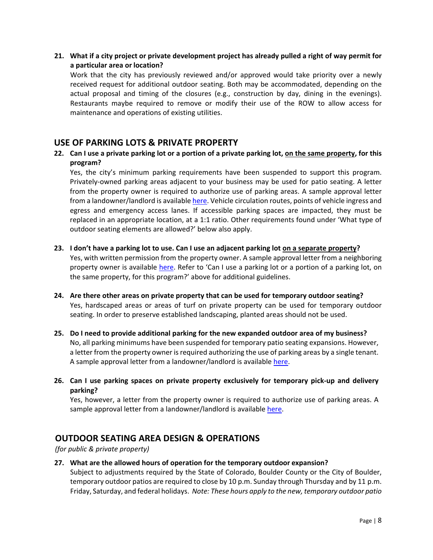<span id="page-7-0"></span>**21. What if a city project or private development project has already pulled a right of way permit for a particular area or location?**

Work that the city has previously reviewed and/or approved would take priority over a newly received request for additional outdoor seating. Both may be accommodated, depending on the actual proposal and timing of the closures (e.g., construction by day, dining in the evenings). Restaurants maybe required to remove or modify their use of the ROW to allow access for maintenance and operations of existing utilities.

## <span id="page-7-1"></span>**USE OF PARKING LOTS & PRIVATE PROPERTY**

<span id="page-7-2"></span>**22. Can I use a private parking lot or a portion of a private parking lot, on the same property, for this program?**

Yes, the city's minimum parking requirements have been suspended to support this program. Privately-owned parking areas adjacent to your business may be used for patio seating. A letter from the property owner is required to authorize use of parking areas. A sample approval letter from a landowner/landlord is availabl[e here.](https://www-static.bouldercolorado.gov/docs/Tools_Letter_from_Landowner_v1-1-202006161607.pdf) Vehicle circulation routes, points of vehicle ingress and egress and emergency access lanes. If accessible parking spaces are impacted, they must be replaced in an appropriate location, at a 1:1 ratio. Other requirements found under 'What type of outdoor seating elements are allowed?' below also apply.

<span id="page-7-3"></span>**23. I don't have a parking lot to use. Can I use an adjacent parking lot on a separate property?**

Yes, with written permission from the property owner. A sample approval letter from a neighboring property owner is available [here.](https://www-static.bouldercolorado.gov/docs/Tools_Letter_from_Adjacent_Property_Owner_v1-1-202006161607.pdf) Refer to 'Can I use a parking lot or a portion of a parking lot, on the same property, for this program?' above for additional guidelines.

- <span id="page-7-4"></span>**24. Are there other areas on private property that can be used for temporary outdoor seating?** Yes, hardscaped areas or areas of turf on private property can be used for temporary outdoor seating. In order to preserve established landscaping, planted areas should not be used.
- <span id="page-7-5"></span>**25. Do I need to provide additional parking for the new expanded outdoor area of my business?** No, all parking minimums have been suspended for temporary patio seating expansions. However, a letter from the property owner is required authorizing the use of parking areas by a single tenant. A sample approval letter from a landowner/landlord is available [here.](https://www-static.bouldercolorado.gov/docs/Tools_Letter_from_Landowner_v1-1-202006161607.pdf)
- <span id="page-7-6"></span>**26. Can I use parking spaces on private property exclusively for temporary pick-up and delivery parking?**

Yes, however, a letter from the property owner is required to authorize use of parking areas. A sample approval letter from a landowner/landlord is available [here.](https://www-static.bouldercolorado.gov/docs/Tools_Letter_from_Landowner_v1-1-202006161607.pdf)

## <span id="page-7-7"></span>**OUTDOOR SEATING AREA DESIGN & OPERATIONS**

*(for public & private property)*

<span id="page-7-8"></span>**27. What are the allowed hours of operation for the temporary outdoor expansion?** Subject to adjustments required by the State of Colorado, Boulder County or the City of Boulder, temporary outdoor patios are required to close by 10 p.m. Sunday through Thursday and by 11 p.m. Friday, Saturday, and federal holidays. *Note: These hours apply to the new, temporary outdoor patio*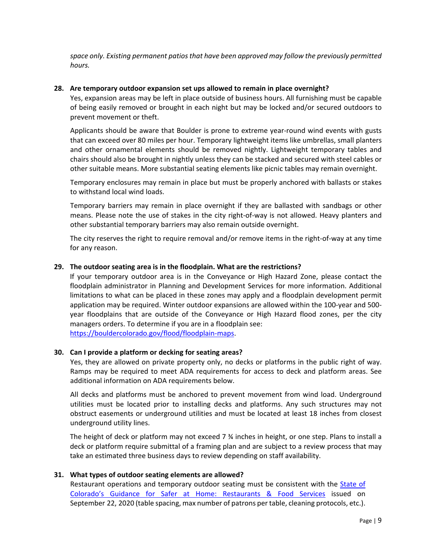*space only. Existing permanent patios that have been approved may follow the previously permitted hours.*

#### <span id="page-8-0"></span>**28. Are temporary outdoor expansion set ups allowed to remain in place overnight?**

Yes, expansion areas may be left in place outside of business hours. All furnishing must be capable of being easily removed or brought in each night but may be locked and/or secured outdoors to prevent movement or theft.

Applicants should be aware that Boulder is prone to extreme year-round wind events with gusts that can exceed over 80 miles per hour. Temporary lightweight items like umbrellas, small planters and other ornamental elements should be removed nightly. Lightweight temporary tables and chairs should also be brought in nightly unless they can be stacked and secured with steel cables or other suitable means. More substantial seating elements like picnic tables may remain overnight.

Temporary enclosures may remain in place but must be properly anchored with ballasts or stakes to withstand local wind loads.

Temporary barriers may remain in place overnight if they are ballasted with sandbags or other means. Please note the use of stakes in the city right-of-way is not allowed. Heavy planters and other substantial temporary barriers may also remain outside overnight.

The city reserves the right to require removal and/or remove items in the right-of-way at any time for any reason.

#### <span id="page-8-1"></span>**29. The outdoor seating area is in the floodplain. What are the restrictions?**

If your temporary outdoor area is in the Conveyance or High Hazard Zone, please contact the floodplain administrator in Planning and Development Services for more information. Additional limitations to what can be placed in these zones may apply and a floodplain development permit application may be required. Winter outdoor expansions are allowed within the 100-year and 500 year floodplains that are outside of the Conveyance or High Hazard flood zones, per the city managers orders. To determine if you are in a floodplain see:

[https://bouldercolorado.gov/flood/floodplain-maps.](https://bouldercolorado.gov/flood/floodplain-maps)

#### <span id="page-8-2"></span>**30. Can I provide a platform or decking for seating areas?**

Yes, they are allowed on private property only, no decks or platforms in the public right of way. Ramps may be required to meet ADA requirements for access to deck and platform areas. See additional information on ADA requirements below.

All decks and platforms must be anchored to prevent movement from wind load. Underground utilities must be located prior to installing decks and platforms. Any such structures may not obstruct easements or underground utilities and must be located at least 18 inches from closest underground utility lines.

The height of deck or platform may not exceed  $7\frac{3}{4}$  inches in height, or one step. Plans to install a deck or platform require submittal of a framing plan and are subject to a review process that may take an estimated three business days to review depending on staff availability.

#### <span id="page-8-3"></span>**31. What types of outdoor seating elements are allowed?**

Restaurant operations and temporary outdoor seating must be consistent with the **State of** [Colorado's Guidance for Safer at Home: Restaurants & Food Services](https://covid19.colorado.gov/safer-at-home/restaurants-food-services) issued on September 22, 2020 (table spacing, max number of patrons per table, cleaning protocols, etc.).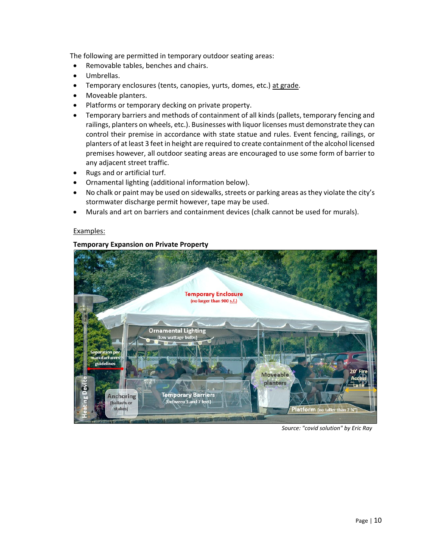The following are permitted in temporary outdoor seating areas:

- Removable tables, benches and chairs.
- Umbrellas.
- Temporary enclosures (tents, canopies, yurts, domes, etc.) at grade.
- Moveable planters.
- Platforms or temporary decking on private property.
- Temporary barriers and methods of containment of all kinds (pallets, temporary fencing and railings, planters on wheels, etc.). Businesses with liquor licenses must demonstrate they can control their premise in accordance with state statue and rules. Event fencing, railings, or planters of at least 3 feet in height are required to create containment of the alcohol licensed premises however, all outdoor seating areas are encouraged to use some form of barrier to any adjacent street traffic.
- Rugs and or artificial turf.
- Ornamental lighting (additional information below).
- No chalk or paint may be used on sidewalks, streets or parking areas as they violate the city's stormwater discharge permit however, tape may be used.
- Murals and art on barriers and containment devices (chalk cannot be used for murals).

#### Examples:

#### **Temporary Expansion on Private Property**



*Source: "covid solution" by Eric Ray*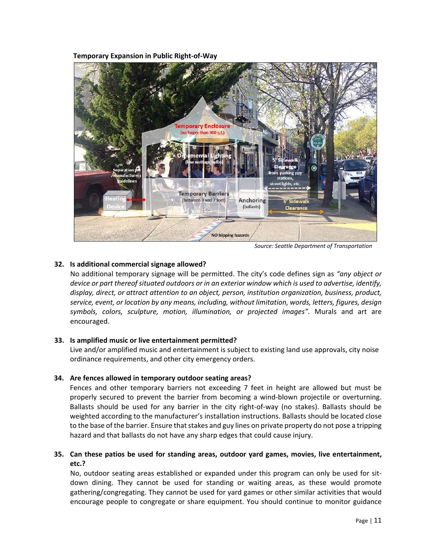**Temporary Expansion in Public Right-of-Way**



*Source: Seattle Department of Transportation*

#### <span id="page-10-0"></span>**32. Is additional commercial signage allowed?**

No additional temporary signage will be permitted. The city's code defines sign as *"any object or device or part thereof situated outdoors or in an exterior window which is used to advertise, identify, display, direct, or attract attention to an object, person, institution organization, business, product, service, event, or location by any means, including, without limitation, words, letters, figures, design*  symbols, colors, sculpture, motion, illumination, or projected images". Murals and art are encouraged.

#### <span id="page-10-1"></span>**33. Is amplified music or live entertainment permitted?**

Live and/or amplified music and entertainment is subject to existing land use approvals, city noise ordinance requirements, and other city emergency orders.

#### <span id="page-10-2"></span>**34. Are fences allowed in temporary outdoor seating areas?**

Fences and other temporary barriers not exceeding 7 feet in height are allowed but must be properly secured to prevent the barrier from becoming a wind-blown projectile or overturning. Ballasts should be used for any barrier in the city right-of-way (no stakes). Ballasts should be weighted according to the manufacturer's installation instructions. Ballasts should be located close to the base of the barrier. Ensure that stakes and guy lines on private property do not pose a tripping hazard and that ballasts do not have any sharp edges that could cause injury.

#### <span id="page-10-3"></span>**35. Can these patios be used for standing areas, outdoor yard games, movies, live entertainment, etc.?**

No, outdoor seating areas established or expanded under this program can only be used for sitdown dining. They cannot be used for standing or waiting areas, as these would promote gathering/congregating. They cannot be used for yard games or other similar activities that would encourage people to congregate or share equipment. You should continue to monitor guidance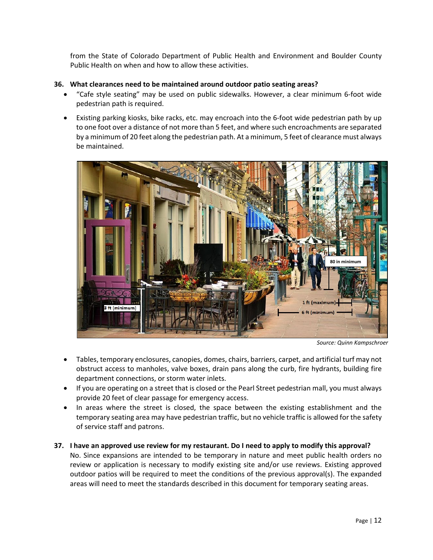from the State of Colorado Department of Public Health and Environment and Boulder County Public Health on when and how to allow these activities.

#### <span id="page-11-0"></span>**36. What clearances need to be maintained around outdoor patio seating areas?**

- "Cafe style seating" may be used on public sidewalks. However, a clear minimum 6-foot wide pedestrian path is required.
- Existing parking kiosks, bike racks, etc. may encroach into the 6-foot wide pedestrian path by up to one foot over a distance of not more than 5 feet, and where such encroachments are separated by a minimum of 20 feet along the pedestrian path. At a minimum, 5 feet of clearance must always be maintained.



*Source: Quinn Kampschroer* 

- Tables, temporary enclosures, canopies, domes, chairs, barriers, carpet, and artificial turf may not obstruct access to manholes, valve boxes, drain pans along the curb, fire hydrants, building fire department connections, or storm water inlets.
- If you are operating on a street that is closed or the Pearl Street pedestrian mall, you must always provide 20 feet of clear passage for emergency access.
- In areas where the street is closed, the space between the existing establishment and the temporary seating area may have pedestrian traffic, but no vehicle traffic is allowed for the safety of service staff and patrons.
- <span id="page-11-1"></span>**37. I have an approved use review for my restaurant. Do I need to apply to modify this approval?** No. Since expansions are intended to be temporary in nature and meet public health orders no review or application is necessary to modify existing site and/or use reviews. Existing approved outdoor patios will be required to meet the conditions of the previous approval(s). The expanded areas will need to meet the standards described in this document for temporary seating areas.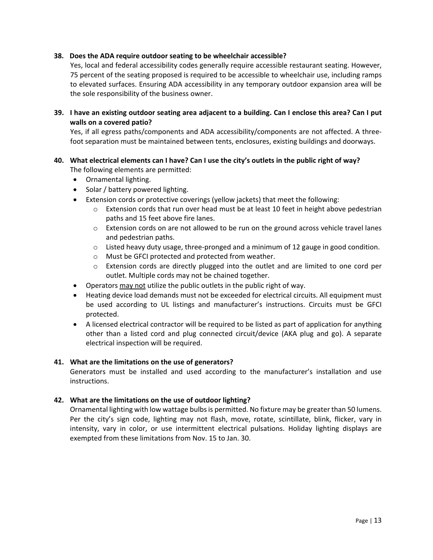#### <span id="page-12-0"></span>**38. Does the ADA require outdoor seating to be wheelchair accessible?**

Yes, local and federal accessibility codes generally require accessible restaurant seating. However, 75 percent of the seating proposed is required to be accessible to wheelchair use, including ramps to elevated surfaces. Ensuring ADA accessibility in any temporary outdoor expansion area will be the sole responsibility of the business owner.

<span id="page-12-1"></span>**39. I have an existing outdoor seating area adjacent to a building. Can I enclose this area? Can I put walls on a covered patio?**

Yes, if all egress paths/components and ADA accessibility/components are not affected. A threefoot separation must be maintained between tents, enclosures, existing buildings and doorways.

- <span id="page-12-2"></span>**40. What electrical elements can I have? Can I use the city's outlets in the public right of way?** The following elements are permitted:
	- Ornamental lighting.
	- Solar / battery powered lighting.
	- Extension cords or protective coverings (yellow jackets) that meet the following:
		- o Extension cords that run over head must be at least 10 feet in height above pedestrian paths and 15 feet above fire lanes.
		- o Extension cords on are not allowed to be run on the ground across vehicle travel lanes and pedestrian paths.
		- o Listed heavy duty usage, three-pronged and a minimum of 12 gauge in good condition.
		- o Must be GFCI protected and protected from weather.
		- $\circ$  Extension cords are directly plugged into the outlet and are limited to one cord per outlet. Multiple cords may not be chained together.
	- Operators may not utilize the public outlets in the public right of way.
	- Heating device load demands must not be exceeded for electrical circuits. All equipment must be used according to UL listings and manufacturer's instructions. Circuits must be GFCI protected.
	- A licensed electrical contractor will be required to be listed as part of application for anything other than a listed cord and plug connected circuit/device (AKA plug and go). A separate electrical inspection will be required.

#### <span id="page-12-3"></span>**41. What are the limitations on the use of generators?**

Generators must be installed and used according to the manufacturer's installation and use instructions.

#### <span id="page-12-4"></span>**42. What are the limitations on the use of outdoor lighting?**

Ornamental lighting with low wattage bulbs is permitted. No fixture may be greater than 50 lumens. Per the city's sign code, lighting may not flash, move, rotate, scintillate, blink, flicker, vary in intensity, vary in color, or use intermittent electrical pulsations. Holiday lighting displays are exempted from these limitations from Nov. 15 to Jan. 30.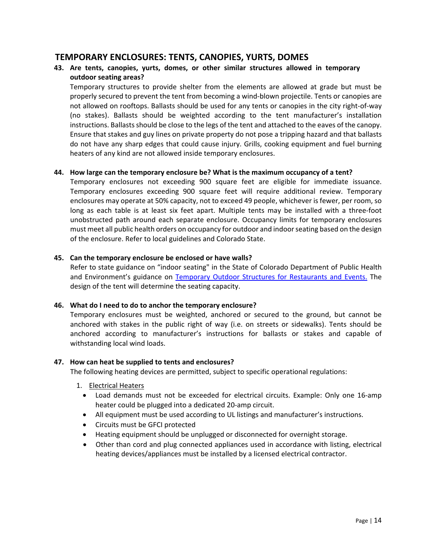## <span id="page-13-0"></span>**TEMPORARY ENCLOSURES: TENTS, CANOPIES, YURTS, DOMES**

#### <span id="page-13-1"></span>**43. Are tents, canopies, yurts, domes, or other similar structures allowed in temporary outdoor seating areas?**

Temporary structures to provide shelter from the elements are allowed at grade but must be properly secured to prevent the tent from becoming a wind-blown projectile. Tents or canopies are not allowed on rooftops. Ballasts should be used for any tents or canopies in the city right-of-way (no stakes). Ballasts should be weighted according to the tent manufacturer's installation instructions. Ballasts should be close to the legs of the tent and attached to the eaves of the canopy. Ensure that stakes and guy lines on private property do not pose a tripping hazard and that ballasts do not have any sharp edges that could cause injury. Grills, cooking equipment and fuel burning heaters of any kind are not allowed inside temporary enclosures.

#### <span id="page-13-2"></span>**44. How large can the temporary enclosure be? What is the maximum occupancy of a tent?**

Temporary enclosures not exceeding 900 square feet are eligible for immediate issuance. Temporary enclosures exceeding 900 square feet will require additional review. Temporary enclosures may operate at 50% capacity, not to exceed 49 people, whichever is fewer, per room, so long as each table is at least six feet apart. Multiple tents may be installed with a three-foot unobstructed path around each separate enclosure. Occupancy limits for temporary enclosures must meet all public health orders on occupancy for outdoor and indoor seating based on the design of the enclosure. Refer to local guidelines and Colorado State.

#### <span id="page-13-3"></span>**45. Can the temporary enclosure be enclosed or have walls?**

Refer to state guidance on "indoor seating" in the State of Colorado Department of Public Health and Environment's guidance on [Temporary Outdoor Structures for Restaurants and Events.](https://drive.google.com/file/d/1_Z0KtLhe5tBRgV835NP4qTijpQCNpOMv/view?usp=sharing) The design of the tent will determine the seating capacity.

#### <span id="page-13-4"></span>**46. What do I need to do to anchor the temporary enclosure?**

Temporary enclosures must be weighted, anchored or secured to the ground, but cannot be anchored with stakes in the public right of way (i.e. on streets or sidewalks). Tents should be anchored according to manufacturer's instructions for ballasts or stakes and capable of withstanding local wind loads.

#### <span id="page-13-5"></span>**47. How can heat be supplied to tents and enclosures?**

The following heating devices are permitted, subject to specific operational regulations:

- 1. Electrical Heaters
	- Load demands must not be exceeded for electrical circuits. Example: Only one 16-amp heater could be plugged into a dedicated 20-amp circuit.
	- All equipment must be used according to UL listings and manufacturer's instructions.
	- Circuits must be GFCI protected
	- Heating equipment should be unplugged or disconnected for overnight storage.
	- Other than cord and plug connected appliances used in accordance with listing, electrical heating devices/appliances must be installed by a licensed electrical contractor.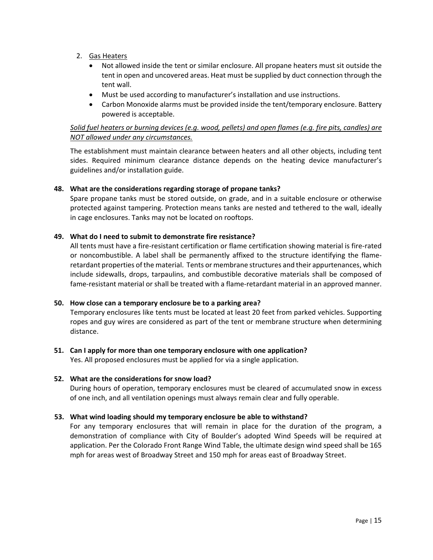- 2. Gas Heaters
	- Not allowed inside the tent or similar enclosure. All propane heaters must sit outside the tent in open and uncovered areas. Heat must be supplied by duct connection through the tent wall.
	- Must be used according to manufacturer's installation and use instructions.
	- Carbon Monoxide alarms must be provided inside the tent/temporary enclosure. Battery powered is acceptable.

#### *Solid fuel heaters or burning devices (e.g. wood, pellets) and open flames (e.g. fire pits, candles) are NOT allowed under any circumstances.*

The establishment must maintain clearance between heaters and all other objects, including tent sides. Required minimum clearance distance depends on the heating device manufacturer's guidelines and/or installation guide.

#### <span id="page-14-0"></span>**48. What are the considerations regarding storage of propane tanks?**

Spare propane tanks must be stored outside, on grade, and in a suitable enclosure or otherwise protected against tampering. Protection means tanks are nested and tethered to the wall, ideally in cage enclosures. Tanks may not be located on rooftops.

#### <span id="page-14-1"></span>**49. What do I need to submit to demonstrate fire resistance?**

All tents must have a fire-resistant certification or flame certification showing material is fire-rated or noncombustible. A label shall be permanently affixed to the structure identifying the flameretardant properties of the material. Tents or membrane structures and their appurtenances, which include sidewalls, drops, tarpaulins, and combustible decorative materials shall be composed of fame-resistant material or shall be treated with a flame-retardant material in an approved manner.

#### <span id="page-14-2"></span>**50. How close can a temporary enclosure be to a parking area?**

Temporary enclosures like tents must be located at least 20 feet from parked vehicles. Supporting ropes and guy wires are considered as part of the tent or membrane structure when determining distance.

#### <span id="page-14-3"></span>**51. Can I apply for more than one temporary enclosure with one application?**

Yes. All proposed enclosures must be applied for via a single application.

#### <span id="page-14-4"></span>**52. What are the considerations for snow load?**

During hours of operation, temporary enclosures must be cleared of accumulated snow in excess of one inch, and all ventilation openings must always remain clear and fully operable.

#### <span id="page-14-5"></span>**53. What wind loading should my temporary enclosure be able to withstand?**

For any temporary enclosures that will remain in place for the duration of the program, a demonstration of compliance with City of Boulder's adopted Wind Speeds will be required at application. Per the Colorado Front Range Wind Table, the ultimate design wind speed shall be 165 mph for areas west of Broadway Street and 150 mph for areas east of Broadway Street.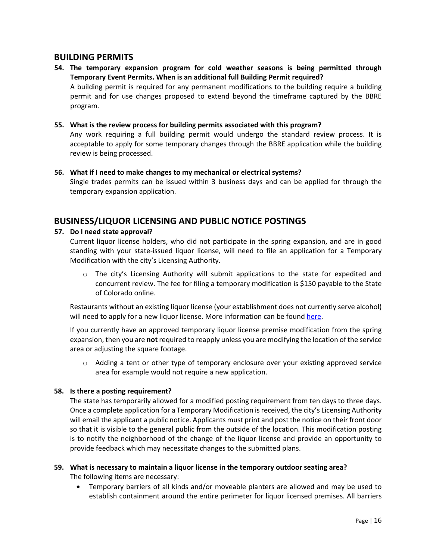## <span id="page-15-0"></span>**BUILDING PERMITS**

## <span id="page-15-1"></span>**54. The temporary expansion program for cold weather seasons is being permitted through Temporary Event Permits. When is an additional full Building Permit required?** A building permit is required for any permanent modifications to the building require a building

permit and for use changes proposed to extend beyond the timeframe captured by the BBRE program.

#### <span id="page-15-2"></span>**55. What is the review process for building permits associated with this program?**

Any work requiring a full building permit would undergo the standard review process. It is acceptable to apply for some temporary changes through the BBRE application while the building review is being processed.

#### <span id="page-15-3"></span>**56. What if I need to make changes to my mechanical or electrical systems?**

Single trades permits can be issued within 3 business days and can be applied for through the temporary expansion application.

## <span id="page-15-4"></span>**BUSINESS/LIQUOR LICENSING AND PUBLIC NOTICE POSTINGS**

#### <span id="page-15-5"></span>**57. Do I need state approval?**

Current liquor license holders, who did not participate in the spring expansion, and are in good standing with your state-issued liquor license, will need to file an application for a [Temporary](https://www-static.bouldercolorado.gov/docs/Online_Liquor_Temporary_Modification_Application_Payments_Packet-1-202005221659.pdf)  [Modification](https://www-static.bouldercolorado.gov/docs/Online_Liquor_Temporary_Modification_Application_Payments_Packet-1-202005221659.pdf) with the city's Licensing Authority.

o The city's Licensing Authority will submit applications to the state for expedited and concurrent review. The fee for filing a temporary modification is \$150 payable to the State of Colorado online.

Restaurants without an existing liquor license (your establishment does not currently serve alcohol) will need to apply for a new liquor license. More information can be found [here.](https://bouldercolorado.gov/tax-license/liquor-licensing)

If you currently have an approved temporary liquor license premise modification from the spring expansion, then you are **not** required to reapply unless you are modifying the location of the service area or adjusting the square footage.

 $\circ$  Adding a tent or other type of temporary enclosure over your existing approved service area for example would not require a new application.

#### <span id="page-15-6"></span>**58. Is there a posting requirement?**

The state has temporarily allowed for a modified posting requirement from ten days to three days. Once a complete application for a Temporary Modification is received, the city's Licensing Authority will email the applicant a public notice. Applicants must print and post the notice on their front door so that it is visible to the general public from the outside of the location. This modification posting is to notify the neighborhood of the change of the liquor license and provide an opportunity to provide feedback which may necessitate changes to the submitted plans.

## <span id="page-15-7"></span>**59. What is necessary to maintain a liquor license in the temporary outdoor seating area?**

The following items are necessary:

• Temporary barriers of all kinds and/or moveable planters are allowed and may be used to establish containment around the entire perimeter for liquor licensed premises. All barriers